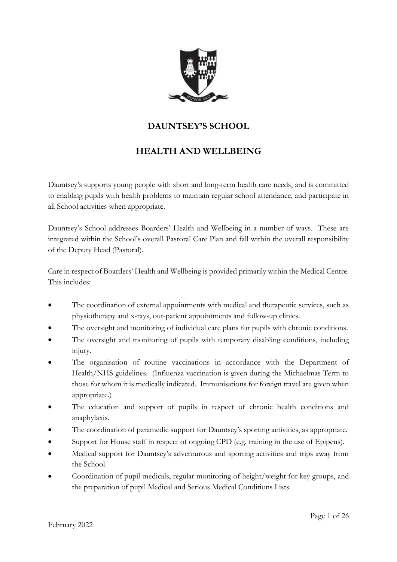

# **DAUNTSEY'S SCHOOL**

# **HEALTH AND WELLBEING**

Dauntsey's supports young people with short and long-term health care needs, and is committed to enabling pupils with health problems to maintain regular school attendance, and participate in all School activities when appropriate.

Dauntsey's School addresses Boarders' Health and Wellbeing in a number of ways. These are integrated within the School's overall Pastoral Care Plan and fall within the overall responsibility of the Deputy Head (Pastoral).

Care in respect of Boarders' Health and Wellbeing is provided primarily within the Medical Centre. This includes:

- The coordination of external appointments with medical and therapeutic services, such as physiotherapy and x-rays, out-patient appointments and follow-up clinics.
- The oversight and monitoring of individual care plans for pupils with chronic conditions.
- The oversight and monitoring of pupils with temporary disabling conditions, including injury.
- The organisation of routine vaccinations in accordance with the Department of Health/NHS guidelines. (Influenza vaccination is given during the Michaelmas Term to those for whom it is medically indicated. Immunisations for foreign travel are given when appropriate.)
- The education and support of pupils in respect of chronic health conditions and anaphylaxis.
- The coordination of paramedic support for Dauntsey's sporting activities, as appropriate.
- Support for House staff in respect of ongoing CPD (e.g. training in the use of Epipens).
- Medical support for Dauntsey's adventurous and sporting activities and trips away from the School.
- Coordination of pupil medicals, regular monitoring of height/weight for key groups, and the preparation of pupil Medical and Serious Medical Conditions Lists.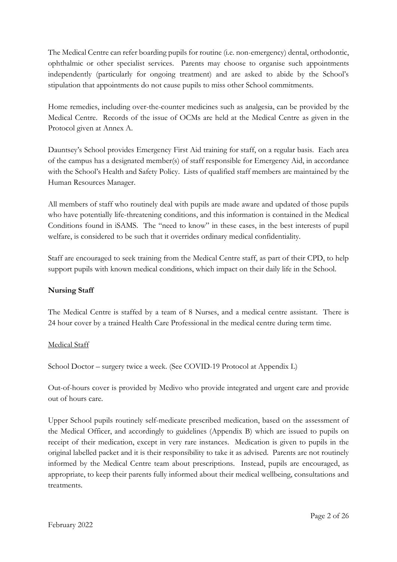The Medical Centre can refer boarding pupils for routine (i.e. non-emergency) dental, orthodontic, ophthalmic or other specialist services. Parents may choose to organise such appointments independently (particularly for ongoing treatment) and are asked to abide by the School's stipulation that appointments do not cause pupils to miss other School commitments.

Home remedies, including over-the-counter medicines such as analgesia, can be provided by the Medical Centre. Records of the issue of OCMs are held at the Medical Centre as given in the Protocol given at Annex A.

Dauntsey's School provides Emergency First Aid training for staff, on a regular basis. Each area of the campus has a designated member(s) of staff responsible for Emergency Aid, in accordance with the School's Health and Safety Policy. Lists of qualified staff members are maintained by the Human Resources Manager.

All members of staff who routinely deal with pupils are made aware and updated of those pupils who have potentially life-threatening conditions, and this information is contained in the Medical Conditions found in iSAMS. The "need to know" in these cases, in the best interests of pupil welfare, is considered to be such that it overrides ordinary medical confidentiality.

Staff are encouraged to seek training from the Medical Centre staff, as part of their CPD, to help support pupils with known medical conditions, which impact on their daily life in the School.

### **Nursing Staff**

The Medical Centre is staffed by a team of 8 Nurses, and a medical centre assistant. There is 24 hour cover by a trained Health Care Professional in the medical centre during term time.

### Medical Staff

School Doctor – surgery twice a week. (See COVID-19 Protocol at Appendix L)

Out-of-hours cover is provided by Medivo who provide integrated and urgent care and provide out of hours care.

Upper School pupils routinely self-medicate prescribed medication, based on the assessment of the Medical Officer, and accordingly to guidelines (Appendix B) which are issued to pupils on receipt of their medication, except in very rare instances. Medication is given to pupils in the original labelled packet and it is their responsibility to take it as advised. Parents are not routinely informed by the Medical Centre team about prescriptions. Instead, pupils are encouraged, as appropriate, to keep their parents fully informed about their medical wellbeing, consultations and treatments.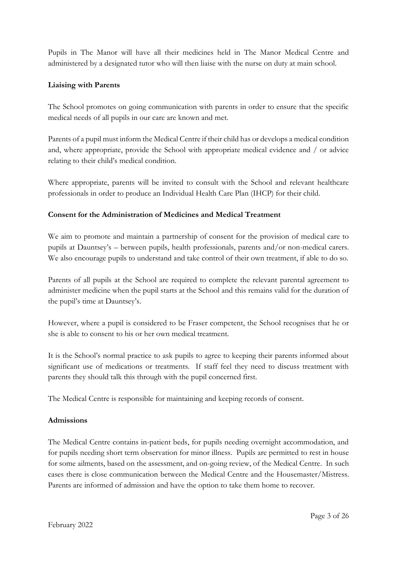Pupils in The Manor will have all their medicines held in The Manor Medical Centre and administered by a designated tutor who will then liaise with the nurse on duty at main school.

### **Liaising with Parents**

The School promotes on going communication with parents in order to ensure that the specific medical needs of all pupils in our care are known and met.

Parents of a pupil must inform the Medical Centre if their child has or develops a medical condition and, where appropriate, provide the School with appropriate medical evidence and / or advice relating to their child's medical condition.

Where appropriate, parents will be invited to consult with the School and relevant healthcare professionals in order to produce an Individual Health Care Plan (IHCP) for their child.

### **Consent for the Administration of Medicines and Medical Treatment**

We aim to promote and maintain a partnership of consent for the provision of medical care to pupils at Dauntsey's – between pupils, health professionals, parents and/or non-medical carers. We also encourage pupils to understand and take control of their own treatment, if able to do so.

Parents of all pupils at the School are required to complete the relevant parental agreement to administer medicine when the pupil starts at the School and this remains valid for the duration of the pupil's time at Dauntsey's.

However, where a pupil is considered to be Fraser competent, the School recognises that he or she is able to consent to his or her own medical treatment.

It is the School's normal practice to ask pupils to agree to keeping their parents informed about significant use of medications or treatments. If staff feel they need to discuss treatment with parents they should talk this through with the pupil concerned first.

The Medical Centre is responsible for maintaining and keeping records of consent.

### **Admissions**

The Medical Centre contains in-patient beds, for pupils needing overnight accommodation, and for pupils needing short term observation for minor illness. Pupils are permitted to rest in house for some ailments, based on the assessment, and on-going review, of the Medical Centre. In such cases there is close communication between the Medical Centre and the Housemaster/Mistress. Parents are informed of admission and have the option to take them home to recover.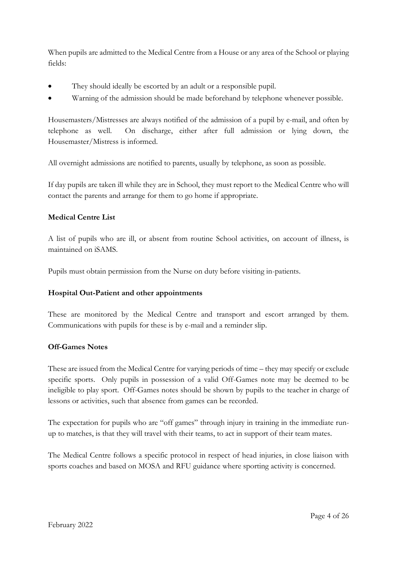When pupils are admitted to the Medical Centre from a House or any area of the School or playing fields:

- They should ideally be escorted by an adult or a responsible pupil.
- Warning of the admission should be made beforehand by telephone whenever possible.

Housemasters/Mistresses are always notified of the admission of a pupil by e-mail, and often by telephone as well. On discharge, either after full admission or lying down, the Housemaster/Mistress is informed.

All overnight admissions are notified to parents, usually by telephone, as soon as possible.

If day pupils are taken ill while they are in School, they must report to the Medical Centre who will contact the parents and arrange for them to go home if appropriate.

### **Medical Centre List**

A list of pupils who are ill, or absent from routine School activities, on account of illness, is maintained on iSAMS.

Pupils must obtain permission from the Nurse on duty before visiting in-patients.

#### **Hospital Out-Patient and other appointments**

These are monitored by the Medical Centre and transport and escort arranged by them. Communications with pupils for these is by e-mail and a reminder slip.

#### **Off-Games Notes**

These are issued from the Medical Centre for varying periods of time – they may specify or exclude specific sports. Only pupils in possession of a valid Off-Games note may be deemed to be ineligible to play sport. Off-Games notes should be shown by pupils to the teacher in charge of lessons or activities, such that absence from games can be recorded.

The expectation for pupils who are "off games" through injury in training in the immediate runup to matches, is that they will travel with their teams, to act in support of their team mates.

The Medical Centre follows a specific protocol in respect of head injuries, in close liaison with sports coaches and based on MOSA and RFU guidance where sporting activity is concerned.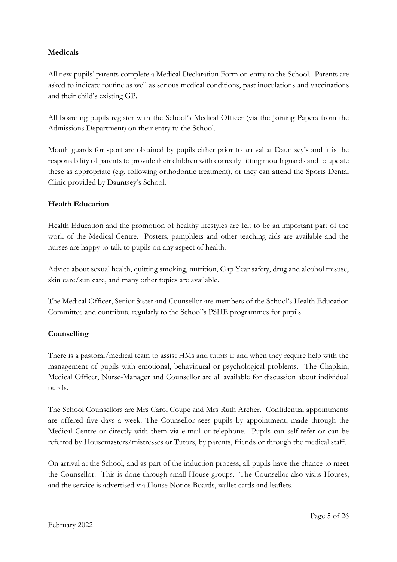### **Medicals**

All new pupils' parents complete a Medical Declaration Form on entry to the School. Parents are asked to indicate routine as well as serious medical conditions, past inoculations and vaccinations and their child's existing GP.

All boarding pupils register with the School's Medical Officer (via the Joining Papers from the Admissions Department) on their entry to the School.

Mouth guards for sport are obtained by pupils either prior to arrival at Dauntsey's and it is the responsibility of parents to provide their children with correctly fitting mouth guards and to update these as appropriate (e.g. following orthodontic treatment), or they can attend the Sports Dental Clinic provided by Dauntsey's School.

### **Health Education**

Health Education and the promotion of healthy lifestyles are felt to be an important part of the work of the Medical Centre. Posters, pamphlets and other teaching aids are available and the nurses are happy to talk to pupils on any aspect of health.

Advice about sexual health, quitting smoking, nutrition, Gap Year safety, drug and alcohol misuse, skin care/sun care, and many other topics are available.

The Medical Officer, Senior Sister and Counsellor are members of the School's Health Education Committee and contribute regularly to the School's PSHE programmes for pupils.

### **Counselling**

There is a pastoral/medical team to assist HMs and tutors if and when they require help with the management of pupils with emotional, behavioural or psychological problems. The Chaplain, Medical Officer, Nurse-Manager and Counsellor are all available for discussion about individual pupils.

The School Counsellors are Mrs Carol Coupe and Mrs Ruth Archer. Confidential appointments are offered five days a week. The Counsellor sees pupils by appointment, made through the Medical Centre or directly with them via e-mail or telephone. Pupils can self-refer or can be referred by Housemasters/mistresses or Tutors, by parents, friends or through the medical staff.

On arrival at the School, and as part of the induction process, all pupils have the chance to meet the Counsellor. This is done through small House groups. The Counsellor also visits Houses, and the service is advertised via House Notice Boards, wallet cards and leaflets.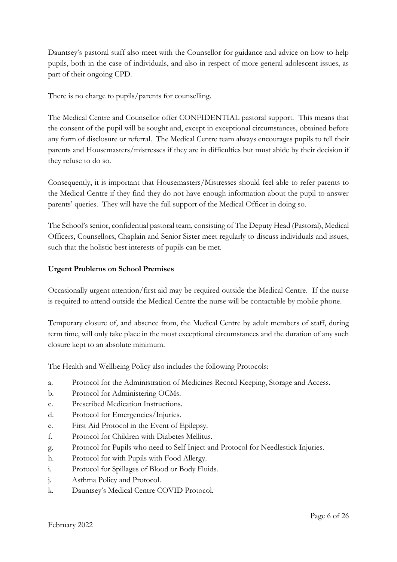Dauntsey's pastoral staff also meet with the Counsellor for guidance and advice on how to help pupils, both in the case of individuals, and also in respect of more general adolescent issues, as part of their ongoing CPD.

There is no charge to pupils/parents for counselling.

The Medical Centre and Counsellor offer CONFIDENTIAL pastoral support. This means that the consent of the pupil will be sought and, except in exceptional circumstances, obtained before any form of disclosure or referral. The Medical Centre team always encourages pupils to tell their parents and Housemasters/mistresses if they are in difficulties but must abide by their decision if they refuse to do so.

Consequently, it is important that Housemasters/Mistresses should feel able to refer parents to the Medical Centre if they find they do not have enough information about the pupil to answer parents' queries. They will have the full support of the Medical Officer in doing so.

The School's senior, confidential pastoral team, consisting of The Deputy Head (Pastoral), Medical Officers, Counsellors, Chaplain and Senior Sister meet regularly to discuss individuals and issues, such that the holistic best interests of pupils can be met.

### **Urgent Problems on School Premises**

Occasionally urgent attention/first aid may be required outside the Medical Centre. If the nurse is required to attend outside the Medical Centre the nurse will be contactable by mobile phone.

Temporary closure of, and absence from, the Medical Centre by adult members of staff, during term time, will only take place in the most exceptional circumstances and the duration of any such closure kept to an absolute minimum.

The Health and Wellbeing Policy also includes the following Protocols:

- a. Protocol for the Administration of Medicines Record Keeping, Storage and Access.
- b. Protocol for Administering OCMs.
- c. Prescribed Medication Instructions.
- d. Protocol for Emergencies/Injuries.
- e. First Aid Protocol in the Event of Epilepsy.
- f. Protocol for Children with Diabetes Mellitus.
- g. Protocol for Pupils who need to Self Inject and Protocol for Needlestick Injuries.
- h. Protocol for with Pupils with Food Allergy.
- i. Protocol for Spillages of Blood or Body Fluids.
- j. Asthma Policy and Protocol.
- k. Dauntsey's Medical Centre COVID Protocol.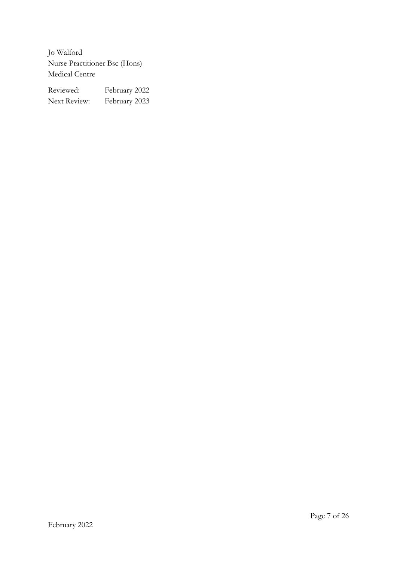Jo Walford Nurse Practitioner Bsc (Hons) Medical Centre

| Reviewed:    | February 2022 |
|--------------|---------------|
| Next Review: | February 2023 |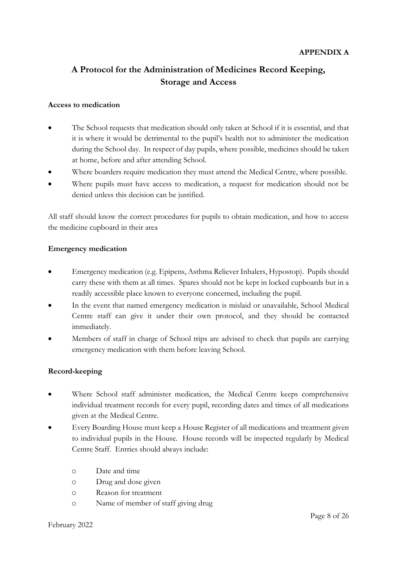# **A Protocol for the Administration of Medicines Record Keeping, Storage and Access**

#### **Access to medication**

- The School requests that medication should only taken at School if it is essential, and that it is where it would be detrimental to the pupil's health not to administer the medication during the School day. In respect of day pupils, where possible, medicines should be taken at home, before and after attending School.
- Where boarders require medication they must attend the Medical Centre, where possible.
- Where pupils must have access to medication, a request for medication should not be denied unless this decision can be justified.

All staff should know the correct procedures for pupils to obtain medication, and how to access the medicine cupboard in their area

#### **Emergency medication**

- Emergency medication (e.g. Epipens, Asthma Reliever Inhalers, Hypostop). Pupils should carry these with them at all times. Spares should not be kept in locked cupboards but in a readily accessible place known to everyone concerned, including the pupil.
- In the event that named emergency medication is mislaid or unavailable, School Medical Centre staff can give it under their own protocol, and they should be contacted immediately.
- Members of staff in charge of School trips are advised to check that pupils are carrying emergency medication with them before leaving School.

### **Record-keeping**

- Where School staff administer medication, the Medical Centre keeps comprehensive individual treatment records for every pupil, recording dates and times of all medications given at the Medical Centre.
- Every Boarding House must keep a House Register of all medications and treatment given to individual pupils in the House. House records will be inspected regularly by Medical Centre Staff. Entries should always include:
	- o Date and time
	- o Drug and dose given
	- o Reason for treatment
	- o Name of member of staff giving drug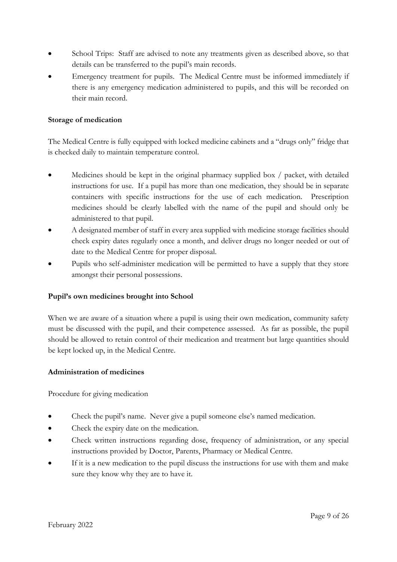- School Trips: Staff are advised to note any treatments given as described above, so that details can be transferred to the pupil's main records.
- Emergency treatment for pupils. The Medical Centre must be informed immediately if there is any emergency medication administered to pupils, and this will be recorded on their main record.

#### **Storage of medication**

The Medical Centre is fully equipped with locked medicine cabinets and a "drugs only" fridge that is checked daily to maintain temperature control.

- Medicines should be kept in the original pharmacy supplied box / packet, with detailed instructions for use. If a pupil has more than one medication, they should be in separate containers with specific instructions for the use of each medication. Prescription medicines should be clearly labelled with the name of the pupil and should only be administered to that pupil.
- A designated member of staff in every area supplied with medicine storage facilities should check expiry dates regularly once a month, and deliver drugs no longer needed or out of date to the Medical Centre for proper disposal.
- Pupils who self-administer medication will be permitted to have a supply that they store amongst their personal possessions.

#### **Pupil's own medicines brought into School**

When we are aware of a situation where a pupil is using their own medication, community safety must be discussed with the pupil, and their competence assessed. As far as possible, the pupil should be allowed to retain control of their medication and treatment but large quantities should be kept locked up, in the Medical Centre.

#### **Administration of medicines**

Procedure for giving medication

- Check the pupil's name. Never give a pupil someone else's named medication.
- Check the expiry date on the medication.
- Check written instructions regarding dose, frequency of administration, or any special instructions provided by Doctor, Parents, Pharmacy or Medical Centre.
- If it is a new medication to the pupil discuss the instructions for use with them and make sure they know why they are to have it.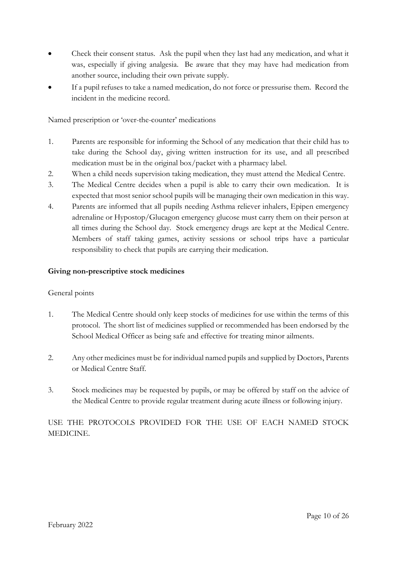- Check their consent status. Ask the pupil when they last had any medication, and what it was, especially if giving analgesia. Be aware that they may have had medication from another source, including their own private supply.
- If a pupil refuses to take a named medication, do not force or pressurise them. Record the incident in the medicine record.

Named prescription or 'over-the-counter' medications

- 1. Parents are responsible for informing the School of any medication that their child has to take during the School day, giving written instruction for its use, and all prescribed medication must be in the original box/packet with a pharmacy label.
- 2. When a child needs supervision taking medication, they must attend the Medical Centre.
- 3. The Medical Centre decides when a pupil is able to carry their own medication. It is expected that most senior school pupils will be managing their own medication in this way.
- 4. Parents are informed that all pupils needing Asthma reliever inhalers, Epipen emergency adrenaline or Hypostop/Glucagon emergency glucose must carry them on their person at all times during the School day. Stock emergency drugs are kept at the Medical Centre. Members of staff taking games, activity sessions or school trips have a particular responsibility to check that pupils are carrying their medication.

### **Giving non-prescriptive stock medicines**

### General points

- 1. The Medical Centre should only keep stocks of medicines for use within the terms of this protocol. The short list of medicines supplied or recommended has been endorsed by the School Medical Officer as being safe and effective for treating minor ailments.
- 2. Any other medicines must be for individual named pupils and supplied by Doctors, Parents or Medical Centre Staff.
- 3. Stock medicines may be requested by pupils, or may be offered by staff on the advice of the Medical Centre to provide regular treatment during acute illness or following injury.

USE THE PROTOCOLS PROVIDED FOR THE USE OF EACH NAMED STOCK MEDICINE.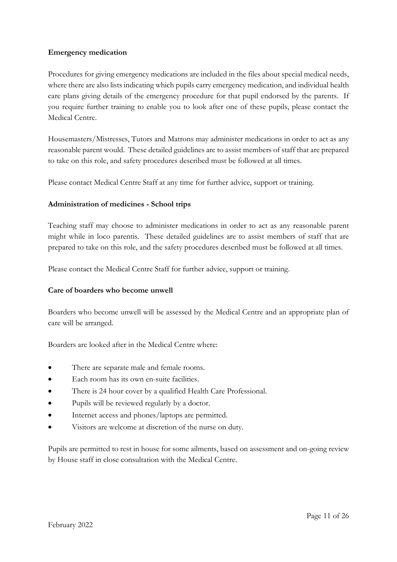#### **Emergency medication**

Procedures for giving emergency medications are included in the files about special medical needs, where there are also lists indicating which pupils carry emergency medication, and individual health care plans giving details of the emergency procedure for that pupil endorsed by the parents. If you require further training to enable you to look after one of these pupils, please contact the Medical Centre.

Housemasters/Mistresses, Tutors and Matrons may administer medications in order to act as any reasonable parent would. These detailed guidelines are to assist members of staff that are prepared to take on this role, and safety procedures described must be followed at all times.

Please contact Medical Centre Staff at any time for further advice, support or training.

#### **Administration of medicines - School trips**

Teaching staff may choose to administer medications in order to act as any reasonable parent might while in loco parentis. These detailed guidelines are to assist members of staff that are prepared to take on this role, and the safety procedures described must be followed at all times.

Please contact the Medical Centre Staff for further advice, support or training.

#### **Care of boarders who become unwell**

Boarders who become unwell will be assessed by the Medical Centre and an appropriate plan of care will be arranged.

Boarders are looked after in the Medical Centre where:

- There are separate male and female rooms.
- Each room has its own en-suite facilities.
- There is 24 hour cover by a qualified Health Care Professional.
- Pupils will be reviewed regularly by a doctor.
- Internet access and phones/laptops are permitted.
- Visitors are welcome at discretion of the nurse on duty.

Pupils are permitted to rest in house for some ailments, based on assessment and on-going review by House staff in close consultation with the Medical Centre.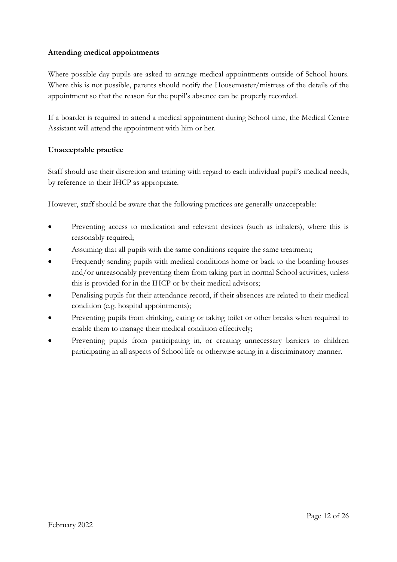### **Attending medical appointments**

Where possible day pupils are asked to arrange medical appointments outside of School hours. Where this is not possible, parents should notify the Housemaster/mistress of the details of the appointment so that the reason for the pupil's absence can be properly recorded.

If a boarder is required to attend a medical appointment during School time, the Medical Centre Assistant will attend the appointment with him or her.

#### **Unacceptable practice**

Staff should use their discretion and training with regard to each individual pupil's medical needs, by reference to their IHCP as appropriate.

However, staff should be aware that the following practices are generally unacceptable:

- Preventing access to medication and relevant devices (such as inhalers), where this is reasonably required;
- Assuming that all pupils with the same conditions require the same treatment;
- Frequently sending pupils with medical conditions home or back to the boarding houses and/or unreasonably preventing them from taking part in normal School activities, unless this is provided for in the IHCP or by their medical advisors;
- Penalising pupils for their attendance record, if their absences are related to their medical condition (e.g. hospital appointments);
- Preventing pupils from drinking, eating or taking toilet or other breaks when required to enable them to manage their medical condition effectively;
- Preventing pupils from participating in, or creating unnecessary barriers to children participating in all aspects of School life or otherwise acting in a discriminatory manner.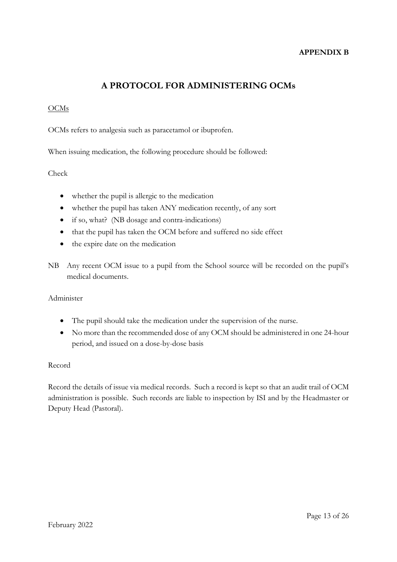#### **APPENDIX B**

## **A PROTOCOL FOR ADMINISTERING OCMs**

### **OCMs**

OCMs refers to analgesia such as paracetamol or ibuprofen.

When issuing medication, the following procedure should be followed:

#### Check

- whether the pupil is allergic to the medication
- whether the pupil has taken ANY medication recently, of any sort
- if so, what? (NB dosage and contra-indications)
- that the pupil has taken the OCM before and suffered no side effect
- the expire date on the medication
- NB Any recent OCM issue to a pupil from the School source will be recorded on the pupil's medical documents.

#### Administer

- The pupil should take the medication under the supervision of the nurse.
- No more than the recommended dose of any OCM should be administered in one 24-hour period, and issued on a dose-by-dose basis

#### Record

Record the details of issue via medical records. Such a record is kept so that an audit trail of OCM administration is possible. Such records are liable to inspection by ISI and by the Headmaster or Deputy Head (Pastoral).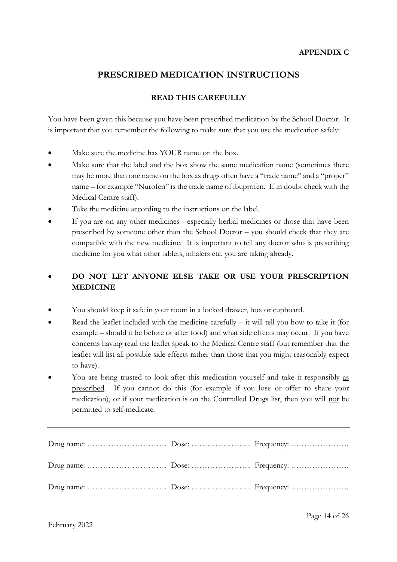### **PRESCRIBED MEDICATION INSTRUCTIONS**

### **READ THIS CAREFULLY**

You have been given this because you have been prescribed medication by the School Doctor. It is important that you remember the following to make sure that you use the medication safely:

- Make sure the medicine has YOUR name on the box.
- Make sure that the label and the box show the same medication name (sometimes there may be more than one name on the box as drugs often have a "trade name" and a "proper" name – for example "Nurofen" is the trade name of ibuprofen. If in doubt check with the Medical Centre staff).
- Take the medicine according to the instructions on the label.
- If you are on any other medicines especially herbal medicines or those that have been prescribed by someone other than the School Doctor – you should check that they are compatible with the new medicine. It is important to tell any doctor who is prescribing medicine for you what other tablets, inhalers etc. you are taking already.

### • **DO NOT LET ANYONE ELSE TAKE OR USE YOUR PRESCRIPTION MEDICINE**

- You should keep it safe in your room in a locked drawer, box or cupboard.
- Read the leaflet included with the medicine carefully  $-$  it will tell you how to take it (for example – should it be before or after food) and what side effects may occur. If you have concerns having read the leaflet speak to the Medical Centre staff (but remember that the leaflet will list all possible side effects rather than those that you might reasonably expect to have).
- You are being trusted to look after this medication yourself and take it responsibly as prescribed. If you cannot do this (for example if you lose or offer to share your medication), or if your medication is on the Controlled Drugs list, then you will not be permitted to self-medicate.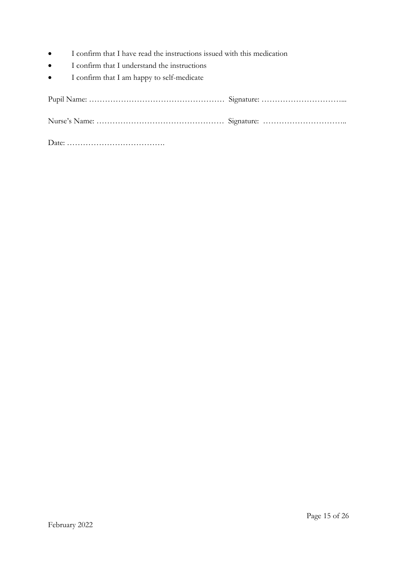- I confirm that I have read the instructions issued with this medication
- I confirm that I understand the instructions
- I confirm that I am happy to self-medicate

Date: ……………………………….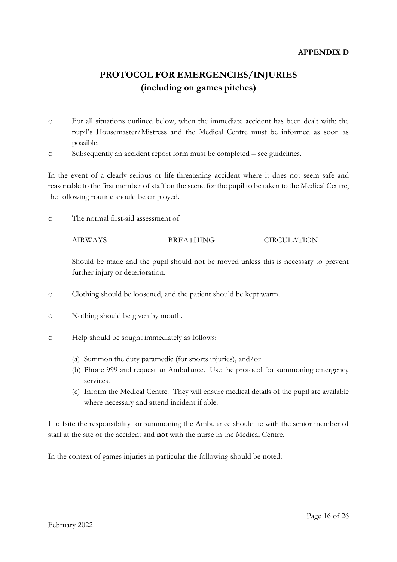#### **APPENDIX D**

# **PROTOCOL FOR EMERGENCIES/INJURIES (including on games pitches)**

- o For all situations outlined below, when the immediate accident has been dealt with: the pupil's Housemaster/Mistress and the Medical Centre must be informed as soon as possible.
- o Subsequently an accident report form must be completed see guidelines.

In the event of a clearly serious or life-threatening accident where it does not seem safe and reasonable to the first member of staff on the scene for the pupil to be taken to the Medical Centre, the following routine should be employed.

o The normal first-aid assessment of

#### AIRWAYS BREATHING CIRCULATION

Should be made and the pupil should not be moved unless this is necessary to prevent further injury or deterioration.

- o Clothing should be loosened, and the patient should be kept warm.
- o Nothing should be given by mouth.
- o Help should be sought immediately as follows:
	- (a) Summon the duty paramedic (for sports injuries), and/or
	- (b) Phone 999 and request an Ambulance. Use the protocol for summoning emergency services.
	- (c) Inform the Medical Centre. They will ensure medical details of the pupil are available where necessary and attend incident if able.

If offsite the responsibility for summoning the Ambulance should lie with the senior member of staff at the site of the accident and **not** with the nurse in the Medical Centre.

In the context of games injuries in particular the following should be noted: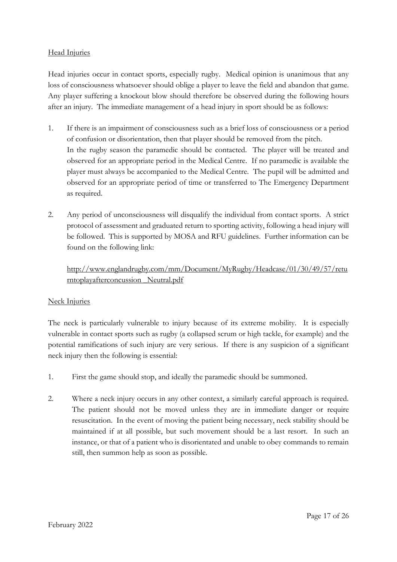#### Head Injuries

Head injuries occur in contact sports, especially rugby. Medical opinion is unanimous that any loss of consciousness whatsoever should oblige a player to leave the field and abandon that game. Any player suffering a knockout blow should therefore be observed during the following hours after an injury. The immediate management of a head injury in sport should be as follows:

- 1. If there is an impairment of consciousness such as a brief loss of consciousness or a period of confusion or disorientation, then that player should be removed from the pitch. In the rugby season the paramedic should be contacted. The player will be treated and observed for an appropriate period in the Medical Centre. If no paramedic is available the player must always be accompanied to the Medical Centre. The pupil will be admitted and observed for an appropriate period of time or transferred to The Emergency Department as required.
- 2. Any period of unconsciousness will disqualify the individual from contact sports. A strict protocol of assessment and graduated return to sporting activity, following a head injury will be followed. This is supported by MOSA and RFU guidelines. Further information can be found on the following link:

### [http://www.englandrugby.com/mm/Document/MyRugby/Headcase/01/30/49/57/retu](http://www.englandrugby.com/mm/Document/MyRugby/Headcase/01/30/49/57/returntoplayafterconcussion%20_Neutral.pdf) [rntoplayafterconcussion \\_Neutral.pdf](http://www.englandrugby.com/mm/Document/MyRugby/Headcase/01/30/49/57/returntoplayafterconcussion%20_Neutral.pdf)

### Neck Injuries

The neck is particularly vulnerable to injury because of its extreme mobility. It is especially vulnerable in contact sports such as rugby (a collapsed scrum or high tackle, for example) and the potential ramifications of such injury are very serious. If there is any suspicion of a significant neck injury then the following is essential:

- 1. First the game should stop, and ideally the paramedic should be summoned.
- 2. Where a neck injury occurs in any other context, a similarly careful approach is required. The patient should not be moved unless they are in immediate danger or require resuscitation. In the event of moving the patient being necessary, neck stability should be maintained if at all possible, but such movement should be a last resort. In such an instance, or that of a patient who is disorientated and unable to obey commands to remain still, then summon help as soon as possible.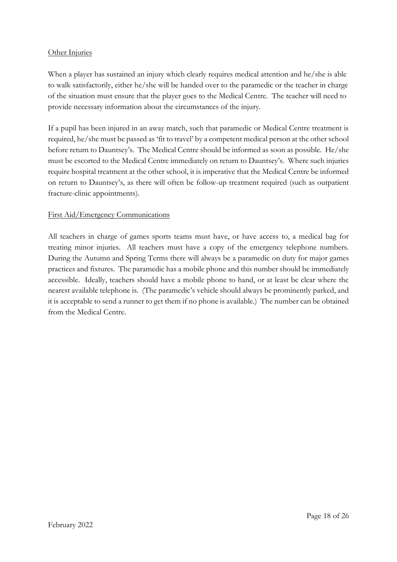#### Other Injuries

When a player has sustained an injury which clearly requires medical attention and he/she is able to walk satisfactorily, either he/she will be handed over to the paramedic or the teacher in charge of the situation must ensure that the player goes to the Medical Centre. The teacher will need to provide necessary information about the circumstances of the injury.

If a pupil has been injured in an away match, such that paramedic or Medical Centre treatment is required, he/she must be passed as 'fit to travel' by a competent medical person at the other school before return to Dauntsey's. The Medical Centre should be informed as soon as possible. He/she must be escorted to the Medical Centre immediately on return to Dauntsey's. Where such injuries require hospital treatment at the other school, it is imperative that the Medical Centre be informed on return to Dauntsey's, as there will often be follow-up treatment required (such as outpatient fracture-clinic appointments).

#### First Aid/Emergency Communications

All teachers in charge of games sports teams must have, or have access to, a medical bag for treating minor injuries. All teachers must have a copy of the emergency telephone numbers. During the Autumn and Spring Terms there will always be a paramedic on duty for major games practices and fixtures. The paramedic has a mobile phone and this number should be immediately accessible. Ideally, teachers should have a mobile phone to hand, or at least be clear where the nearest available telephone is. (The paramedic's vehicle should always be prominently parked, and it is acceptable to send a runner to get them if no phone is available.) The number can be obtained from the Medical Centre.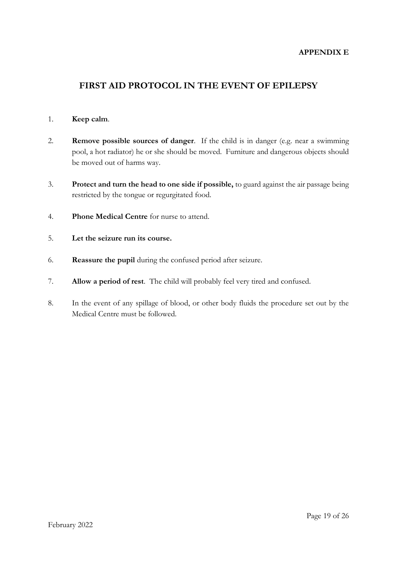#### **APPENDIX E**

### **FIRST AID PROTOCOL IN THE EVENT OF EPILEPSY**

#### 1. **Keep calm**.

- 2. **Remove possible sources of danger**. If the child is in danger (e.g. near a swimming pool, a hot radiator) he or she should be moved. Furniture and dangerous objects should be moved out of harms way.
- 3. **Protect and turn the head to one side if possible,** to guard against the air passage being restricted by the tongue or regurgitated food.
- 4. **Phone Medical Centre** for nurse to attend.
- 5. **Let the seizure run its course.**
- 6. **Reassure the pupil** during the confused period after seizure.
- 7. **Allow a period of rest**. The child will probably feel very tired and confused.
- 8. In the event of any spillage of blood, or other body fluids the procedure set out by the Medical Centre must be followed.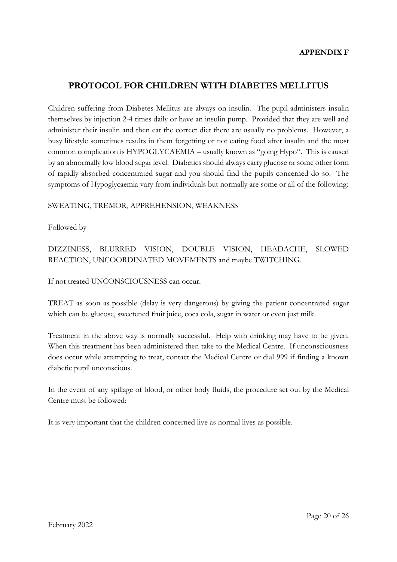### **PROTOCOL FOR CHILDREN WITH DIABETES MELLITUS**

Children suffering from Diabetes Mellitus are always on insulin. The pupil administers insulin themselves by injection 2-4 times daily or have an insulin pump. Provided that they are well and administer their insulin and then eat the correct diet there are usually no problems. However, a busy lifestyle sometimes results in them forgetting or not eating food after insulin and the most common complication is HYPOGLYCAEMIA – usually known as "going Hypo". This is caused by an abnormally low blood sugar level. Diabetics should always carry glucose or some other form of rapidly absorbed concentrated sugar and you should find the pupils concerned do so. The symptoms of Hypoglycaemia vary from individuals but normally are some or all of the following:

#### SWEATING, TREMOR, APPREHENSION, WEAKNESS

Followed by

DIZZINESS, BLURRED VISION, DOUBLE VISION, HEADACHE, SLOWED REACTION, UNCOORDINATED MOVEMENTS and maybe TWITCHING.

If not treated UNCONSCIOUSNESS can occur.

TREAT as soon as possible (delay is very dangerous) by giving the patient concentrated sugar which can be glucose, sweetened fruit juice, coca cola, sugar in water or even just milk.

Treatment in the above way is normally successful. Help with drinking may have to be given. When this treatment has been administered then take to the Medical Centre. If unconsciousness does occur while attempting to treat, contact the Medical Centre or dial 999 if finding a known diabetic pupil unconscious.

In the event of any spillage of blood, or other body fluids, the procedure set out by the Medical Centre must be followed:

It is very important that the children concerned live as normal lives as possible.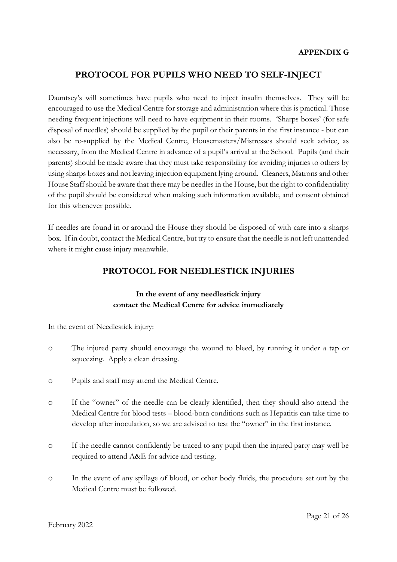### **PROTOCOL FOR PUPILS WHO NEED TO SELF-INJECT**

Dauntsey's will sometimes have pupils who need to inject insulin themselves. They will be encouraged to use the Medical Centre for storage and administration where this is practical. Those needing frequent injections will need to have equipment in their rooms. 'Sharps boxes' (for safe disposal of needles) should be supplied by the pupil or their parents in the first instance - but can also be re-supplied by the Medical Centre, Housemasters/Mistresses should seek advice, as necessary, from the Medical Centre in advance of a pupil's arrival at the School. Pupils (and their parents) should be made aware that they must take responsibility for avoiding injuries to others by using sharps boxes and not leaving injection equipment lying around. Cleaners, Matrons and other House Staff should be aware that there may be needles in the House, but the right to confidentiality of the pupil should be considered when making such information available, and consent obtained for this whenever possible.

If needles are found in or around the House they should be disposed of with care into a sharps box. If in doubt, contact the Medical Centre, but try to ensure that the needle is not left unattended where it might cause injury meanwhile.

### **PROTOCOL FOR NEEDLESTICK INJURIES**

### **In the event of any needlestick injury contact the Medical Centre for advice immediately**

In the event of Needlestick injury:

- o The injured party should encourage the wound to bleed, by running it under a tap or squeezing. Apply a clean dressing.
- o Pupils and staff may attend the Medical Centre.
- o If the "owner" of the needle can be clearly identified, then they should also attend the Medical Centre for blood tests – blood-born conditions such as Hepatitis can take time to develop after inoculation, so we are advised to test the "owner" in the first instance.
- o If the needle cannot confidently be traced to any pupil then the injured party may well be required to attend A&E for advice and testing.
- o In the event of any spillage of blood, or other body fluids, the procedure set out by the Medical Centre must be followed.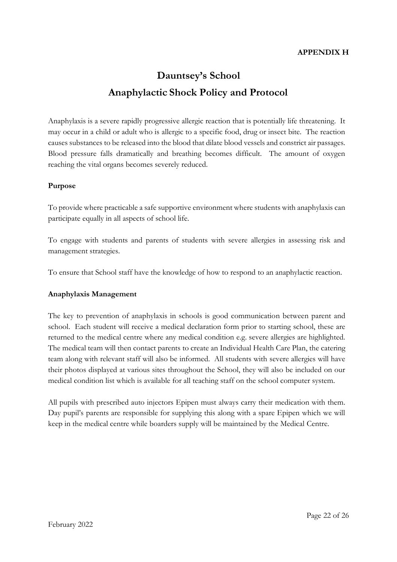# **Dauntsey's School Anaphylactic Shock Policy and Protocol**

Anaphylaxis is a severe rapidly progressive allergic reaction that is potentially life threatening. It may occur in a child or adult who is allergic to a specific food, drug or insect bite. The reaction causes substances to be released into the blood that dilate blood vessels and constrict air passages. Blood pressure falls dramatically and breathing becomes difficult. The amount of oxygen reaching the vital organs becomes severely reduced.

#### **Purpose**

To provide where practicable a safe supportive environment where students with anaphylaxis can participate equally in all aspects of school life.

To engage with students and parents of students with severe allergies in assessing risk and management strategies.

To ensure that School staff have the knowledge of how to respond to an anaphylactic reaction.

#### **Anaphylaxis Management**

The key to prevention of anaphylaxis in schools is good communication between parent and school. Each student will receive a medical declaration form prior to starting school, these are returned to the medical centre where any medical condition e.g. severe allergies are highlighted. The medical team will then contact parents to create an Individual Health Care Plan, the catering team along with relevant staff will also be informed. All students with severe allergies will have their photos displayed at various sites throughout the School, they will also be included on our medical condition list which is available for all teaching staff on the school computer system.

All pupils with prescribed auto injectors Epipen must always carry their medication with them. Day pupil's parents are responsible for supplying this along with a spare Epipen which we will keep in the medical centre while boarders supply will be maintained by the Medical Centre.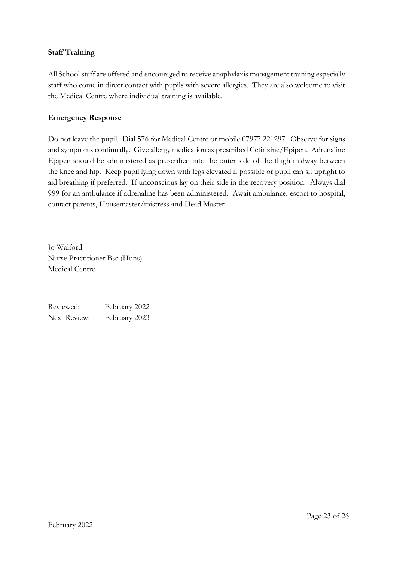#### **Staff Training**

All School staff are offered and encouraged to receive anaphylaxis management training especially staff who come in direct contact with pupils with severe allergies. They are also welcome to visit the Medical Centre where individual training is available.

#### **Emergency Response**

Do not leave the pupil. Dial 576 for Medical Centre or mobile 07977 221297. Observe for signs and symptoms continually. Give allergy medication as prescribed Cetirizine/Epipen. Adrenaline Epipen should be administered as prescribed into the outer side of the thigh midway between the knee and hip. Keep pupil lying down with legs elevated if possible or pupil can sit upright to aid breathing if preferred. If unconscious lay on their side in the recovery position. Always dial 999 for an ambulance if adrenaline has been administered. Await ambulance, escort to hospital, contact parents, Housemaster/mistress and Head Master

Jo Walford Nurse Practitioner Bsc (Hons) Medical Centre

Reviewed: February 2022 Next Review: February 2023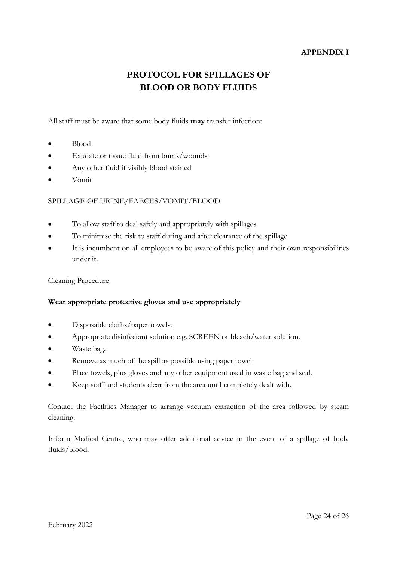#### **APPENDIX I**

# **PROTOCOL FOR SPILLAGES OF BLOOD OR BODY FLUIDS**

All staff must be aware that some body fluids **may** transfer infection:

- Blood
- Exudate or tissue fluid from burns/wounds
- Any other fluid if visibly blood stained
- Vomit

#### SPILLAGE OF URINE/FAECES/VOMIT/BLOOD

- To allow staff to deal safely and appropriately with spillages.
- To minimise the risk to staff during and after clearance of the spillage.
- It is incumbent on all employees to be aware of this policy and their own responsibilities under it.

#### Cleaning Procedure

#### **Wear appropriate protective gloves and use appropriately**

- Disposable cloths/paper towels.
- Appropriate disinfectant solution e.g. SCREEN or bleach/water solution.
- Waste bag.
- Remove as much of the spill as possible using paper towel.
- Place towels, plus gloves and any other equipment used in waste bag and seal.
- Keep staff and students clear from the area until completely dealt with.

Contact the Facilities Manager to arrange vacuum extraction of the area followed by steam cleaning.

Inform Medical Centre, who may offer additional advice in the event of a spillage of body fluids/blood.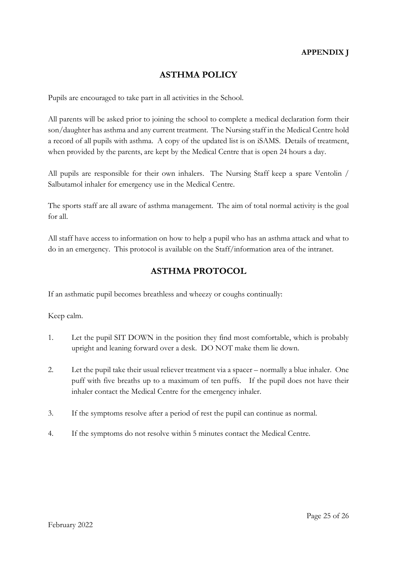### **APPENDIX J**

### **ASTHMA POLICY**

Pupils are encouraged to take part in all activities in the School.

All parents will be asked prior to joining the school to complete a medical declaration form their son/daughter has asthma and any current treatment. The Nursing staff in the Medical Centre hold a record of all pupils with asthma. A copy of the updated list is on iSAMS. Details of treatment, when provided by the parents, are kept by the Medical Centre that is open 24 hours a day.

All pupils are responsible for their own inhalers. The Nursing Staff keep a spare Ventolin / Salbutamol inhaler for emergency use in the Medical Centre.

The sports staff are all aware of asthma management. The aim of total normal activity is the goal for all.

All staff have access to information on how to help a pupil who has an asthma attack and what to do in an emergency. This protocol is available on the Staff/information area of the intranet.

### **ASTHMA PROTOCOL**

If an asthmatic pupil becomes breathless and wheezy or coughs continually:

Keep calm.

- 1. Let the pupil SIT DOWN in the position they find most comfortable, which is probably upright and leaning forward over a desk. DO NOT make them lie down.
- 2. Let the pupil take their usual reliever treatment via a spacer normally a blue inhaler. One puff with five breaths up to a maximum of ten puffs. If the pupil does not have their inhaler contact the Medical Centre for the emergency inhaler.
- 3. If the symptoms resolve after a period of rest the pupil can continue as normal.
- 4. If the symptoms do not resolve within 5 minutes contact the Medical Centre.